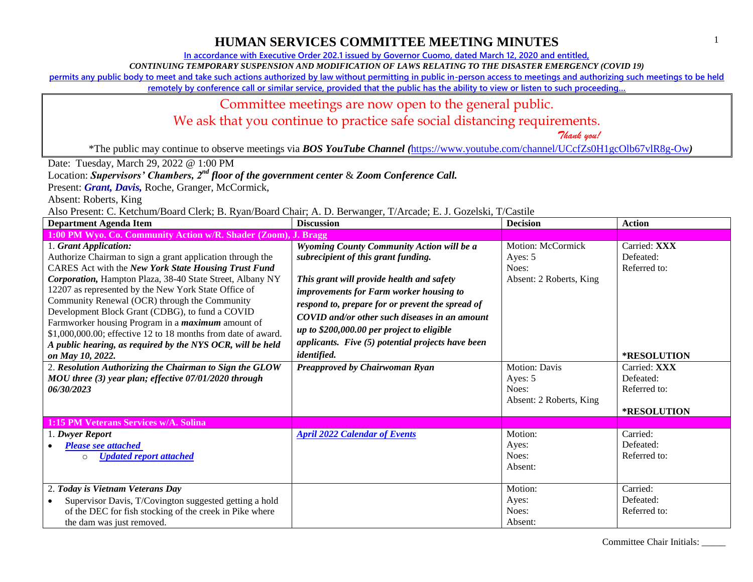**In accordance with Executive Order 202.1 issued by Governor Cuomo, dated March 12, 2020 and entitled,**

*CONTINUING TEMPORARY SUSPENSION AND MODIFICATION OF LAWS RELATING TO THE DISASTER EMERGENCY (COVID 19)*

**permits any public body to meet and take such actions authorized by law without permitting in public in-person access to meetings and authorizing such meetings to be held** 

remotely by conference call or similar service, provided that the public has the ability to view or listen to such proceeding...

## Committee meetings are now open to the general public.

We ask that you continue to practice safe social distancing requirements.

 *Thank you!*

\*The public may continue to observe meetings via *BOS YouTube Channel (*<https://www.youtube.com/channel/UCcfZs0H1gcOlb67vlR8g-Ow>*)*

Date: Tuesday, March 29, 2022 @ 1:00 PM

Location: *Supervisors' Chambers, 2nd floor of the government center* & *Zoom Conference Call.*

Present: **Grant, Davis**, Roche, Granger, McCormick,

Absent: Roberts, King

Also Present: C. Ketchum/Board Clerk; B. Ryan/Board Chair; A. D. Berwanger, T/Arcade; E. J. Gozelski, T/Castile

| <b>Department Agenda Item</b>                                                                                                                                                                                                                                                                                                                                                                                                                                                                                                                                                       | <b>Discussion</b>                                                                                                                                                                                                                                                                                                                                                                               | <b>Decision</b>                                                         | <b>Action</b>                                                   |
|-------------------------------------------------------------------------------------------------------------------------------------------------------------------------------------------------------------------------------------------------------------------------------------------------------------------------------------------------------------------------------------------------------------------------------------------------------------------------------------------------------------------------------------------------------------------------------------|-------------------------------------------------------------------------------------------------------------------------------------------------------------------------------------------------------------------------------------------------------------------------------------------------------------------------------------------------------------------------------------------------|-------------------------------------------------------------------------|-----------------------------------------------------------------|
| 1:00 PM Wyo. Co. Community Action w/R. Shader (Zoom), J. Bragg                                                                                                                                                                                                                                                                                                                                                                                                                                                                                                                      |                                                                                                                                                                                                                                                                                                                                                                                                 |                                                                         |                                                                 |
| 1. Grant Application:<br>Authorize Chairman to sign a grant application through the<br>CARES Act with the New York State Housing Trust Fund<br>Corporation, Hampton Plaza, 38-40 State Street, Albany NY<br>12207 as represented by the New York State Office of<br>Community Renewal (OCR) through the Community<br>Development Block Grant (CDBG), to fund a COVID<br>Farmworker housing Program in a <i>maximum</i> amount of<br>\$1,000,000.00; effective 12 to 18 months from date of award.<br>A public hearing, as required by the NYS OCR, will be held<br>on May 10, 2022. | Wyoming County Community Action will be a<br>subrecipient of this grant funding.<br>This grant will provide health and safety<br>improvements for Farm worker housing to<br>respond to, prepare for or prevent the spread of<br>COVID and/or other such diseases in an amount<br>up to \$200,000.00 per project to eligible<br>applicants. Five (5) potential projects have been<br>identified. | <b>Motion: McCormick</b><br>Ayes: 5<br>Noes:<br>Absent: 2 Roberts, King | Carried: XXX<br>Defeated:<br>Referred to:<br><b>*RESOLUTION</b> |
| 2. Resolution Authorizing the Chairman to Sign the GLOW<br>MOU three (3) year plan; effective 07/01/2020 through<br>06/30/2023                                                                                                                                                                                                                                                                                                                                                                                                                                                      | Preapproved by Chairwoman Ryan                                                                                                                                                                                                                                                                                                                                                                  | <b>Motion: Davis</b><br>Ayes: 5<br>Noes:<br>Absent: 2 Roberts, King     | Carried: XXX<br>Defeated:<br>Referred to:<br>*RESOLUTION        |
| 1:15 PM Veterans Services w/A. Solina<br>1. Dwyer Report<br><b>Please see attached</b><br><b>Updated report attached</b><br>$\circ$                                                                                                                                                                                                                                                                                                                                                                                                                                                 | <b>April 2022 Calendar of Events</b>                                                                                                                                                                                                                                                                                                                                                            | Motion:<br>Ayes:<br>Noes:<br>Absent:                                    | Carried:<br>Defeated:<br>Referred to:                           |
| 2. Today is Vietnam Veterans Day<br>Supervisor Davis, T/Covington suggested getting a hold<br>of the DEC for fish stocking of the creek in Pike where<br>the dam was just removed.                                                                                                                                                                                                                                                                                                                                                                                                  |                                                                                                                                                                                                                                                                                                                                                                                                 | Motion:<br>Ayes:<br>Noes:<br>Absent:                                    | Carried:<br>Defeated:<br>Referred to:                           |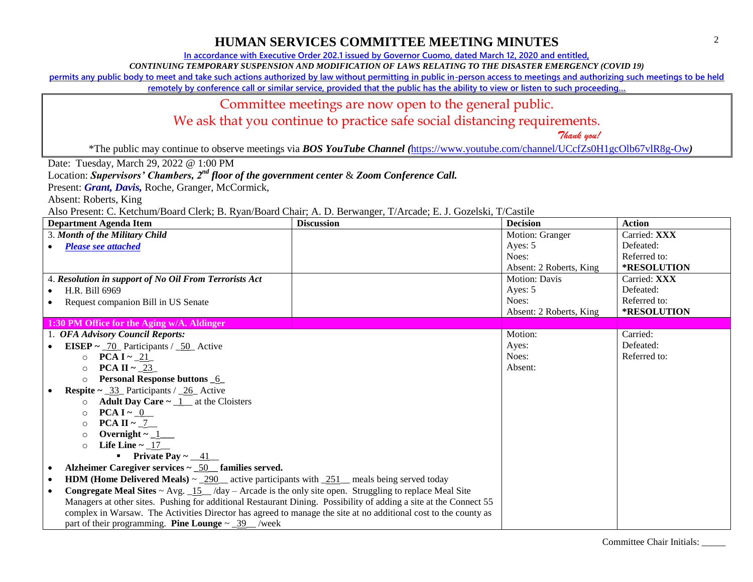**In accordance with Executive Order 202.1 issued by Governor Cuomo, dated March 12, 2020 and entitled,**

*CONTINUING TEMPORARY SUSPENSION AND MODIFICATION OF LAWS RELATING TO THE DISASTER EMERGENCY (COVID 19)*

**permits any public body to meet and take such actions authorized by law without permitting in public in-person access to meetings and authorizing such meetings to be held** 

**remotely by conference call or similar service, provided that the public has the ability to view or listen to such proceeding…**

## Committee meetings are now open to the general public.

We ask that you continue to practice safe social distancing requirements.

 *Thank you!*

\*The public may continue to observe meetings via *BOS YouTube Channel (*<https://www.youtube.com/channel/UCcfZs0H1gcOlb67vlR8g-Ow>*)*

Date: Tuesday, March 29, 2022 @ 1:00 PM

Location: *Supervisors' Chambers, 2nd floor of the government center* & *Zoom Conference Call.*

Present: **Grant, Davis**, Roche, Granger, McCormick,

Absent: Roberts, King

Also Present: C. Ketchum/Board Clerk; B. Ryan/Board Chair; A. D. Berwanger, T/Arcade; E. J. Gozelski, T/Castile

| <b>Department Agenda Item</b>                                                                                                        | <b>Discussion</b> | <b>Decision</b>         | <b>Action</b> |
|--------------------------------------------------------------------------------------------------------------------------------------|-------------------|-------------------------|---------------|
| 3. Month of the Military Child                                                                                                       |                   | Motion: Granger         | Carried: XXX  |
| <b>Please see attached</b>                                                                                                           |                   | Ayes: 5                 | Defeated:     |
|                                                                                                                                      |                   | Noes:                   | Referred to:  |
|                                                                                                                                      |                   | Absent: 2 Roberts, King | *RESOLUTION   |
| 4. Resolution in support of No Oil From Terrorists Act                                                                               |                   | <b>Motion: Davis</b>    | Carried: XXX  |
| H.R. Bill 6969                                                                                                                       |                   | Ayes: 5                 | Defeated:     |
| Request companion Bill in US Senate                                                                                                  |                   | Noes:                   | Referred to:  |
|                                                                                                                                      |                   | Absent: 2 Roberts, King | *RESOLUTION   |
| 1:30 PM Office for the Aging w/A. Aldinger                                                                                           |                   |                         |               |
| 1. OFA Advisory Council Reports:                                                                                                     |                   | Motion:                 | Carried:      |
| <b>EISEP</b> ~ $\underline{\phantom{0}}70$ Participants / $\underline{\phantom{0}}50$ Active                                         |                   | Ayes:                   | Defeated:     |
| $\circ$ PCA I ~ 21                                                                                                                   |                   | Noes:                   | Referred to:  |
| PCA II ~ $23$<br>$\circ$                                                                                                             |                   | Absent:                 |               |
| <b>Personal Response buttons 6</b><br>$\circ$                                                                                        |                   |                         |               |
| <b>Respite</b> $\sim$ _33_ Participants / _26_ Active                                                                                |                   |                         |               |
| <b>Adult Day Care <math>\sim</math> 1_ at the Cloisters</b><br>$\circ$                                                               |                   |                         |               |
| PCA I ~ $0$<br>$\circ$                                                                                                               |                   |                         |               |
| <b>PCA II</b> $\sim$ 7<br>$\circ$                                                                                                    |                   |                         |               |
| $\circ$                                                                                                                              |                   |                         |               |
| Life Line $\sim$ $\underline{\hspace{0.1cm}17}$<br>$\Omega$                                                                          |                   |                         |               |
| <b>•</b> Private Pay $\sim$ 41                                                                                                       |                   |                         |               |
| Alzheimer Caregiver services $\sim$ _50 $\pm$ families served.                                                                       |                   |                         |               |
| <b>HDM (Home Delivered Meals)</b> $\sim$ 290 $\pm$ active participants with 251 meals being served today<br>$\bullet$                |                   |                         |               |
| <b>Congregate Meal Sites ~ Avg.</b> $\frac{15}{4}$ /day – Arcade is the only site open. Struggling to replace Meal Site<br>$\bullet$ |                   |                         |               |
| Managers at other sites. Pushing for additional Restaurant Dining. Possibility of adding a site at the Connect 55                    |                   |                         |               |
| complex in Warsaw. The Activities Director has agreed to manage the site at no additional cost to the county as                      |                   |                         |               |
| part of their programming. <b>Pine Lounge</b> $\sim$ _39__/week                                                                      |                   |                         |               |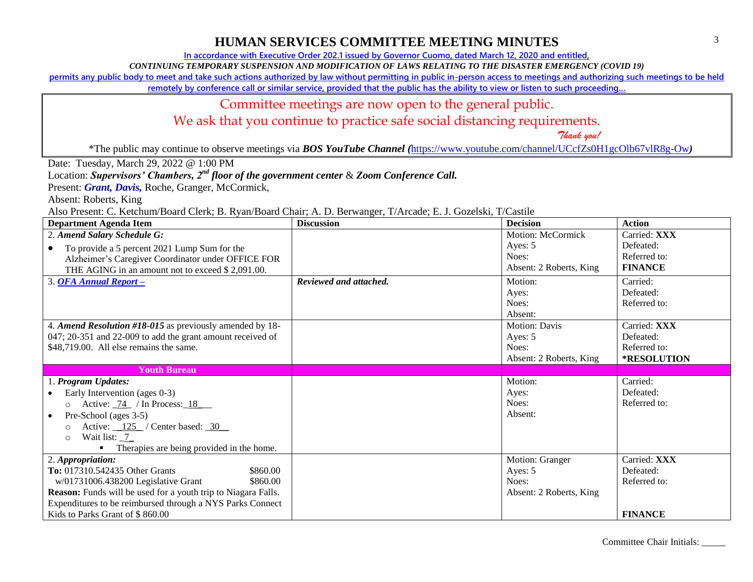**In accordance with Executive Order 202.1 issued by Governor Cuomo, dated March 12, 2020 and entitled,**

*CONTINUING TEMPORARY SUSPENSION AND MODIFICATION OF LAWS RELATING TO THE DISASTER EMERGENCY (COVID 19)*

**permits any public body to meet and take such actions authorized by law without permitting in public in-person access to meetings and authorizing such meetings to be held** 

**remotely by conference call or similar service, provided that the public has the ability to view or listen to such proceeding…**

#### Committee meetings are now open to the general public.

We ask that you continue to practice safe social distancing requirements.

 *Thank you!*

\*The public may continue to observe meetings via *BOS YouTube Channel (*<https://www.youtube.com/channel/UCcfZs0H1gcOlb67vlR8g-Ow>*)*

Date: Tuesday, March 29, 2022 @ 1:00 PM

Location: *Supervisors' Chambers, 2nd floor of the government center* & *Zoom Conference Call.*

Present: **Grant, Davis**, Roche, Granger, McCormick,

Absent: Roberts, King

Also Present: C. Ketchum/Board Clerk; B. Ryan/Board Chair; A. D. Berwanger, T/Arcade; E. J. Gozelski, T/Castile

| <b>Department Agenda Item</b>                                     | <b>Discussion</b>      | <b>Decision</b>         | <b>Action</b>  |
|-------------------------------------------------------------------|------------------------|-------------------------|----------------|
| 2. Amend Salary Schedule G:                                       |                        | Motion: McCormick       | Carried: XXX   |
| To provide a 5 percent 2021 Lump Sum for the<br>$\bullet$         |                        | Ayes: 5                 | Defeated:      |
| Alzheimer's Caregiver Coordinator under OFFICE FOR                |                        | Noes:                   | Referred to:   |
| THE AGING in an amount not to exceed \$2,091.00.                  |                        | Absent: 2 Roberts, King | <b>FINANCE</b> |
| 3. OFA Annual Report -                                            | Reviewed and attached. | Motion:                 | Carried:       |
|                                                                   |                        | Ayes:                   | Defeated:      |
|                                                                   |                        | Noes:                   | Referred to:   |
|                                                                   |                        | Absent:                 |                |
| 4. Amend Resolution #18-015 as previously amended by 18-          |                        | <b>Motion: Davis</b>    | Carried: XXX   |
| 047; 20-351 and 22-009 to add the grant amount received of        |                        | Ayes: 5                 | Defeated:      |
| \$48,719.00. All else remains the same.                           |                        | Noes:                   | Referred to:   |
|                                                                   |                        | Absent: 2 Roberts, King | *RESOLUTION    |
| <b>Youth Bureau</b>                                               |                        |                         |                |
| 1. Program Updates:                                               |                        | Motion:                 | Carried:       |
| Early Intervention (ages 0-3)                                     |                        | Ayes:                   | Defeated:      |
| Active: $\frac{74}{10}$ / In Process: 18<br>$\circ$               |                        | Noes:                   | Referred to:   |
| Pre-School (ages 3-5)<br>$\bullet$                                |                        | Absent:                 |                |
| Active: $\frac{125}{ }$ / Center based: $\frac{30}{ }$<br>$\circ$ |                        |                         |                |
| Wait list: _7_<br>$\circ$                                         |                        |                         |                |
| Therapies are being provided in the home.                         |                        |                         |                |
| 2. Appropriation:                                                 |                        | Motion: Granger         | Carried: XXX   |
| To: 017310.542435 Other Grants<br>\$860.00                        |                        | Ayes: 5                 | Defeated:      |
| w/01731006.438200 Legislative Grant<br>\$860.00                   |                        | Noes:                   | Referred to:   |
| Reason: Funds will be used for a youth trip to Niagara Falls.     |                        | Absent: 2 Roberts, King |                |
| Expenditures to be reimbursed through a NYS Parks Connect         |                        |                         |                |
| Kids to Parks Grant of \$860.00                                   |                        |                         | <b>FINANCE</b> |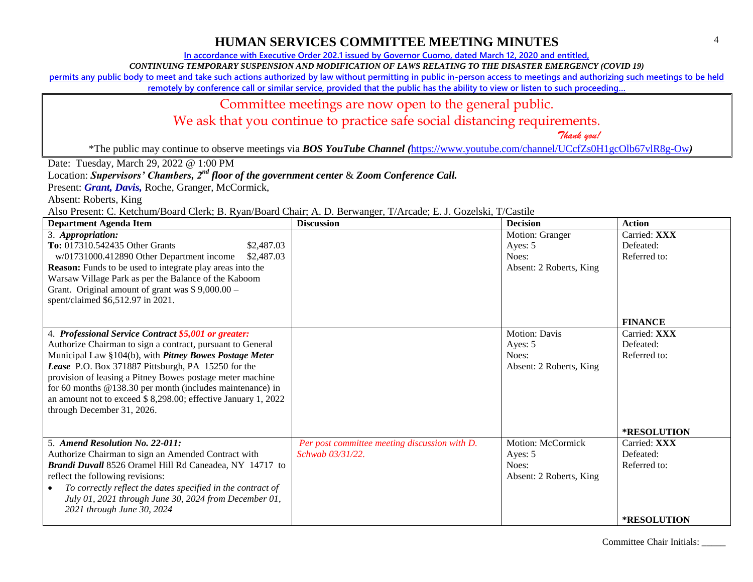**In accordance with Executive Order 202.1 issued by Governor Cuomo, dated March 12, 2020 and entitled,**

*CONTINUING TEMPORARY SUSPENSION AND MODIFICATION OF LAWS RELATING TO THE DISASTER EMERGENCY (COVID 19)*

**permits any public body to meet and take such actions authorized by law without permitting in public in-person access to meetings and authorizing such meetings to be held** 

remotely by conference call or similar service, provided that the public has the ability to view or listen to such proceeding...

#### Committee meetings are now open to the general public.

We ask that you continue to practice safe social distancing requirements.

 *Thank you!*

\*The public may continue to observe meetings via *BOS YouTube Channel (*<https://www.youtube.com/channel/UCcfZs0H1gcOlb67vlR8g-Ow>*)*

Date: Tuesday, March 29, 2022 @ 1:00 PM

Location: *Supervisors' Chambers, 2nd floor of the government center* & *Zoom Conference Call.*

Present: **Grant, Davis**, Roche, Granger, McCormick,

Absent: Roberts, King

Also Present: C. Ketchum/Board Clerk; B. Ryan/Board Chair; A. D. Berwanger, T/Arcade; E. J. Gozelski, T/Castile

| <b>Department Agenda Item</b>                                    | <b>Discussion</b>                             | <b>Decision</b>         | <b>Action</b>      |
|------------------------------------------------------------------|-----------------------------------------------|-------------------------|--------------------|
| 3. Appropriation:                                                |                                               | Motion: Granger         | Carried: XXX       |
| To: 017310.542435 Other Grants<br>\$2,487.03                     |                                               | Ayes: 5                 | Defeated:          |
| w/01731000.412890 Other Department income<br>\$2,487.03          |                                               | Noes:                   | Referred to:       |
| <b>Reason:</b> Funds to be used to integrate play areas into the |                                               | Absent: 2 Roberts, King |                    |
| Warsaw Village Park as per the Balance of the Kaboom             |                                               |                         |                    |
| Grant. Original amount of grant was $$9,000.00 -$                |                                               |                         |                    |
| spent/claimed \$6,512.97 in 2021.                                |                                               |                         |                    |
|                                                                  |                                               |                         | <b>FINANCE</b>     |
| 4. Professional Service Contract \$5,001 or greater:             |                                               | <b>Motion: Davis</b>    | Carried: XXX       |
| Authorize Chairman to sign a contract, pursuant to General       |                                               | Ayes: 5                 | Defeated:          |
| Municipal Law §104(b), with Pitney Bowes Postage Meter           |                                               | Noes:                   | Referred to:       |
| Lease P.O. Box 371887 Pittsburgh, PA 15250 for the               |                                               | Absent: 2 Roberts, King |                    |
| provision of leasing a Pitney Bowes postage meter machine        |                                               |                         |                    |
| for 60 months @138.30 per month (includes maintenance) in        |                                               |                         |                    |
| an amount not to exceed \$8,298.00; effective January 1, 2022    |                                               |                         |                    |
| through December 31, 2026.                                       |                                               |                         |                    |
|                                                                  |                                               |                         |                    |
|                                                                  |                                               |                         | *RESOLUTION        |
| 5. Amend Resolution No. 22-011:                                  | Per post committee meeting discussion with D. | Motion: McCormick       | Carried: XXX       |
| Authorize Chairman to sign an Amended Contract with              | Schwab 03/31/22.                              | Ayes: 5                 | Defeated:          |
| Brandi Duvall 8526 Oramel Hill Rd Caneadea, NY 14717 to          |                                               | Noes:                   | Referred to:       |
| reflect the following revisions:                                 |                                               | Absent: 2 Roberts, King |                    |
| To correctly reflect the dates specified in the contract of      |                                               |                         |                    |
| July 01, 2021 through June 30, 2024 from December 01,            |                                               |                         |                    |
| 2021 through June 30, 2024                                       |                                               |                         |                    |
|                                                                  |                                               |                         | <b>*RESOLUTION</b> |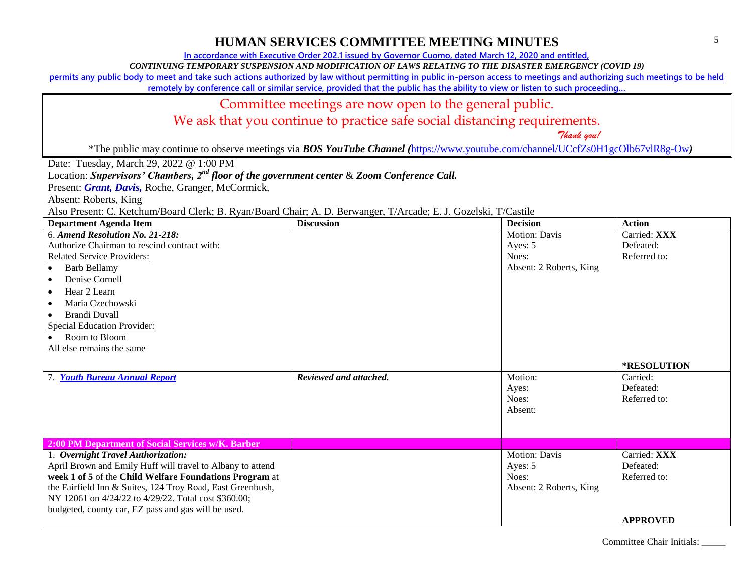**In accordance with Executive Order 202.1 issued by Governor Cuomo, dated March 12, 2020 and entitled,**

*CONTINUING TEMPORARY SUSPENSION AND MODIFICATION OF LAWS RELATING TO THE DISASTER EMERGENCY (COVID 19)*

**permits any public body to meet and take such actions authorized by law without permitting in public in-person access to meetings and authorizing such meetings to be held** 

**remotely by conference call or similar service, provided that the public has the ability to view or listen to such proceeding…**

#### Committee meetings are now open to the general public.

We ask that you continue to practice safe social distancing requirements.

 *Thank you!*

\*The public may continue to observe meetings via *BOS YouTube Channel (*<https://www.youtube.com/channel/UCcfZs0H1gcOlb67vlR8g-Ow>*)*

Date: Tuesday, March 29, 2022 @ 1:00 PM

Location: *Supervisors' Chambers, 2nd floor of the government center* & *Zoom Conference Call.*

Present: **Grant, Davis**, Roche, Granger, McCormick,

Absent: Roberts, King

Also Present: C. Ketchum/Board Clerk; B. Ryan/Board Chair; A. D. Berwanger, T/Arcade; E. J. Gozelski, T/Castile

| <b>Department Agenda Item</b>                              | <b>Discussion</b>      | <b>Decision</b>         | <b>Action</b>   |
|------------------------------------------------------------|------------------------|-------------------------|-----------------|
| 6. Amend Resolution No. 21-218:                            |                        | <b>Motion: Davis</b>    | Carried: XXX    |
| Authorize Chairman to rescind contract with:               |                        | Ayes: 5                 | Defeated:       |
| <b>Related Service Providers:</b>                          |                        | Noes:                   | Referred to:    |
| <b>Barb Bellamy</b><br>$\bullet$                           |                        | Absent: 2 Roberts, King |                 |
| Denise Cornell<br>$\bullet$                                |                        |                         |                 |
| Hear 2 Learn                                               |                        |                         |                 |
| Maria Czechowski                                           |                        |                         |                 |
| <b>Brandi Duvall</b>                                       |                        |                         |                 |
| <b>Special Education Provider:</b>                         |                        |                         |                 |
| Room to Bloom                                              |                        |                         |                 |
| All else remains the same                                  |                        |                         |                 |
|                                                            |                        |                         |                 |
|                                                            |                        |                         | *RESOLUTION     |
| 7. Youth Bureau Annual Report                              | Reviewed and attached. | Motion:                 | Carried:        |
|                                                            |                        | Ayes:                   | Defeated:       |
|                                                            |                        | Noes:                   | Referred to:    |
|                                                            |                        | Absent:                 |                 |
|                                                            |                        |                         |                 |
| 2:00 PM Department of Social Services w/K. Barber          |                        |                         |                 |
| 1. Overnight Travel Authorization:                         |                        | Motion: Davis           | Carried: XXX    |
| April Brown and Emily Huff will travel to Albany to attend |                        | Ayes: 5                 | Defeated:       |
| week 1 of 5 of the Child Welfare Foundations Program at    |                        | Noes:                   | Referred to:    |
| the Fairfield Inn & Suites, 124 Troy Road, East Greenbush, |                        | Absent: 2 Roberts, King |                 |
| NY 12061 on 4/24/22 to 4/29/22. Total cost \$360.00;       |                        |                         |                 |
| budgeted, county car, EZ pass and gas will be used.        |                        |                         |                 |
|                                                            |                        |                         | <b>APPROVED</b> |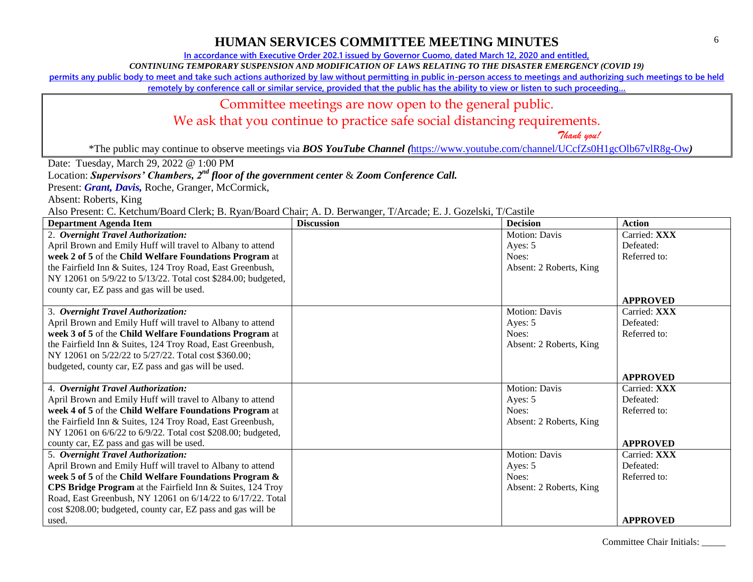**In accordance with Executive Order 202.1 issued by Governor Cuomo, dated March 12, 2020 and entitled,**

*CONTINUING TEMPORARY SUSPENSION AND MODIFICATION OF LAWS RELATING TO THE DISASTER EMERGENCY (COVID 19)*

**permits any public body to meet and take such actions authorized by law without permitting in public in-person access to meetings and authorizing such meetings to be held** 

**remotely by conference call or similar service, provided that the public has the ability to view or listen to such proceeding…**

#### Committee meetings are now open to the general public.

We ask that you continue to practice safe social distancing requirements.

 *Thank you!*

\*The public may continue to observe meetings via *BOS YouTube Channel (*<https://www.youtube.com/channel/UCcfZs0H1gcOlb67vlR8g-Ow>*)*

Date: Tuesday, March 29, 2022 @ 1:00 PM

Location: *Supervisors' Chambers, 2nd floor of the government center* & *Zoom Conference Call.*

Present: **Grant, Davis**, Roche, Granger, McCormick,

Absent: Roberts, King

Also Present: C. Ketchum/Board Clerk; B. Ryan/Board Chair; A. D. Berwanger, T/Arcade; E. J. Gozelski, T/Castile

| <b>Department Agenda Item</b>                                 | <b>Discussion</b> | <b>Decision</b>         | <b>Action</b>   |
|---------------------------------------------------------------|-------------------|-------------------------|-----------------|
| 2. Overnight Travel Authorization:                            |                   | <b>Motion: Davis</b>    | Carried: XXX    |
| April Brown and Emily Huff will travel to Albany to attend    |                   | Ayes: 5                 | Defeated:       |
| week 2 of 5 of the Child Welfare Foundations Program at       |                   | Noes:                   | Referred to:    |
| the Fairfield Inn & Suites, 124 Troy Road, East Greenbush,    |                   | Absent: 2 Roberts, King |                 |
| NY 12061 on 5/9/22 to 5/13/22. Total cost \$284.00; budgeted, |                   |                         |                 |
| county car, EZ pass and gas will be used.                     |                   |                         |                 |
|                                                               |                   |                         | <b>APPROVED</b> |
| 3. Overnight Travel Authorization:                            |                   | Motion: Davis           | Carried: XXX    |
| April Brown and Emily Huff will travel to Albany to attend    |                   | Ayes: 5                 | Defeated:       |
| week 3 of 5 of the Child Welfare Foundations Program at       |                   | Noes:                   | Referred to:    |
| the Fairfield Inn & Suites, 124 Troy Road, East Greenbush,    |                   | Absent: 2 Roberts, King |                 |
| NY 12061 on 5/22/22 to 5/27/22. Total cost \$360.00;          |                   |                         |                 |
| budgeted, county car, EZ pass and gas will be used.           |                   |                         |                 |
|                                                               |                   |                         | <b>APPROVED</b> |
| 4. Overnight Travel Authorization:                            |                   | Motion: Davis           | Carried: XXX    |
| April Brown and Emily Huff will travel to Albany to attend    |                   | Ayes: 5                 | Defeated:       |
| week 4 of 5 of the Child Welfare Foundations Program at       |                   | Noes:                   | Referred to:    |
| the Fairfield Inn & Suites, 124 Troy Road, East Greenbush,    |                   | Absent: 2 Roberts, King |                 |
| NY 12061 on 6/6/22 to 6/9/22. Total cost \$208.00; budgeted,  |                   |                         |                 |
| county car, EZ pass and gas will be used.                     |                   |                         | <b>APPROVED</b> |
| 5. Overnight Travel Authorization:                            |                   | Motion: Davis           | Carried: XXX    |
| April Brown and Emily Huff will travel to Albany to attend    |                   | Ayes: 5                 | Defeated:       |
| week 5 of 5 of the Child Welfare Foundations Program &        |                   | Noes:                   | Referred to:    |
| CPS Bridge Program at the Fairfield Inn & Suites, 124 Troy    |                   | Absent: 2 Roberts, King |                 |
| Road, East Greenbush, NY 12061 on 6/14/22 to 6/17/22. Total   |                   |                         |                 |
| cost \$208.00; budgeted, county car, EZ pass and gas will be  |                   |                         |                 |
| used.                                                         |                   |                         | <b>APPROVED</b> |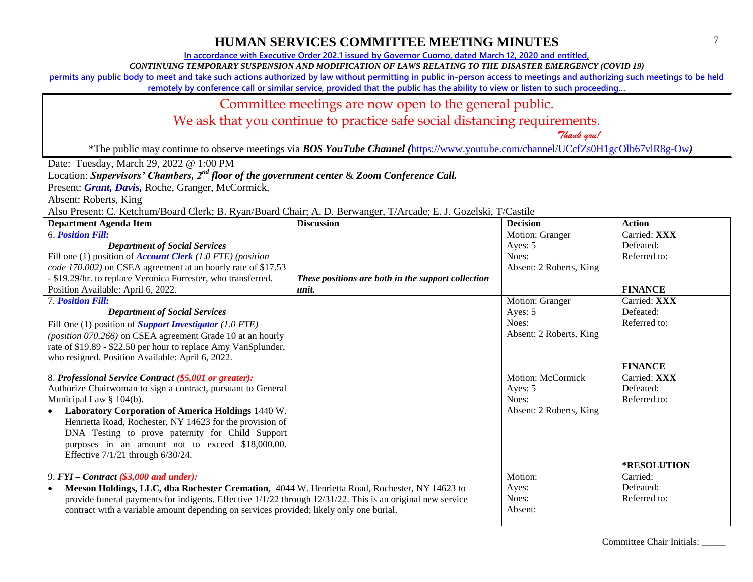**In accordance with Executive Order 202.1 issued by Governor Cuomo, dated March 12, 2020 and entitled,**

*CONTINUING TEMPORARY SUSPENSION AND MODIFICATION OF LAWS RELATING TO THE DISASTER EMERGENCY (COVID 19)*

**permits any public body to meet and take such actions authorized by law without permitting in public in-person access to meetings and authorizing such meetings to be held** 

**remotely by conference call or similar service, provided that the public has the ability to view or listen to such proceeding…**

## Committee meetings are now open to the general public.

We ask that you continue to practice safe social distancing requirements.

 *Thank you!*

\*The public may continue to observe meetings via *BOS YouTube Channel (*<https://www.youtube.com/channel/UCcfZs0H1gcOlb67vlR8g-Ow>*)*

Date: Tuesday, March 29, 2022 @ 1:00 PM

Location: *Supervisors' Chambers, 2nd floor of the government center* & *Zoom Conference Call.*

Present: **Grant, Davis**, Roche, Granger, McCormick,

Absent: Roberts, King

Also Present: C. Ketchum/Board Clerk; B. Ryan/Board Chair; A. D. Berwanger, T/Arcade; E. J. Gozelski, T/Castile

| <b>Department Agenda Item</b>                                                                                   | <b>Discussion</b>                                  | <b>Decision</b>         | <b>Action</b>      |
|-----------------------------------------------------------------------------------------------------------------|----------------------------------------------------|-------------------------|--------------------|
| <b>6. Position Fill:</b>                                                                                        |                                                    | Motion: Granger         | Carried: XXX       |
| <b>Department of Social Services</b>                                                                            |                                                    | Ayes: 5                 | Defeated:          |
| Fill one (1) position of <b>Account Clerk</b> (1.0 FTE) (position                                               |                                                    | Noes:                   | Referred to:       |
| code 170.002) on CSEA agreement at an hourly rate of \$17.53                                                    |                                                    | Absent: 2 Roberts, King |                    |
| - \$19.29/hr. to replace Veronica Forrester, who transferred.                                                   | These positions are both in the support collection |                         |                    |
| Position Available: April 6, 2022.                                                                              | unit.                                              |                         | <b>FINANCE</b>     |
| <b>7. Position Fill:</b>                                                                                        |                                                    | Motion: Granger         | Carried: XXX       |
| <b>Department of Social Services</b>                                                                            |                                                    | Ayes: 5                 | Defeated:          |
| Fill One (1) position of <b>Support Investigator</b> (1.0 FTE)                                                  |                                                    | Noes:                   | Referred to:       |
| (position 070.266) on CSEA agreement Grade 10 at an hourly                                                      |                                                    | Absent: 2 Roberts, King |                    |
| rate of \$19.89 - \$22.50 per hour to replace Amy VanSplunder,                                                  |                                                    |                         |                    |
| who resigned. Position Available: April 6, 2022.                                                                |                                                    |                         |                    |
|                                                                                                                 |                                                    |                         | <b>FINANCE</b>     |
| 8. Professional Service Contract (\$5,001 or greater):                                                          |                                                    | Motion: McCormick       | Carried: XXX       |
| Authorize Chairwoman to sign a contract, pursuant to General                                                    |                                                    | Ayes: 5                 | Defeated:          |
| Municipal Law § 104(b).                                                                                         |                                                    | Noes:                   | Referred to:       |
| Laboratory Corporation of America Holdings 1440 W.                                                              |                                                    | Absent: 2 Roberts, King |                    |
| Henrietta Road, Rochester, NY 14623 for the provision of                                                        |                                                    |                         |                    |
| DNA Testing to prove paternity for Child Support                                                                |                                                    |                         |                    |
| purposes in an amount not to exceed \$18,000.00.                                                                |                                                    |                         |                    |
| Effective 7/1/21 through 6/30/24.                                                                               |                                                    |                         |                    |
|                                                                                                                 |                                                    |                         | <b>*RESOLUTION</b> |
| 9. $FYI - Contract ( $3,000 and under):$                                                                        |                                                    | Motion:                 | Carried:           |
| Meeson Holdings, LLC, dba Rochester Cremation, 4044 W. Henrietta Road, Rochester, NY 14623 to<br>$\bullet$      |                                                    | Ayes:                   | Defeated:          |
| provide funeral payments for indigents. Effective $1/1/22$ through $12/31/22$ . This is an original new service |                                                    | Noes:                   | Referred to:       |
| contract with a variable amount depending on services provided; likely only one burial.                         |                                                    | Absent:                 |                    |
|                                                                                                                 |                                                    |                         |                    |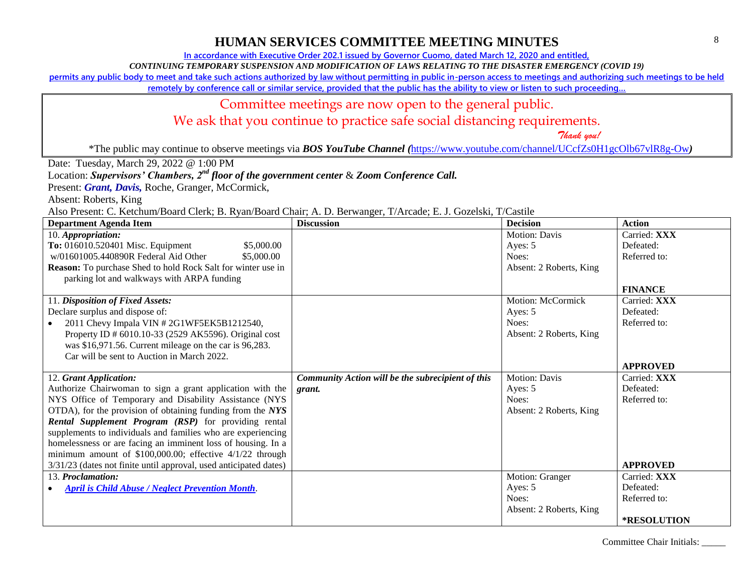**In accordance with Executive Order 202.1 issued by Governor Cuomo, dated March 12, 2020 and entitled,**

*CONTINUING TEMPORARY SUSPENSION AND MODIFICATION OF LAWS RELATING TO THE DISASTER EMERGENCY (COVID 19)*

**permits any public body to meet and take such actions authorized by law without permitting in public in-person access to meetings and authorizing such meetings to be held** 

**remotely by conference call or similar service, provided that the public has the ability to view or listen to such proceeding…**

#### Committee meetings are now open to the general public.

We ask that you continue to practice safe social distancing requirements.

 *Thank you!*

\*The public may continue to observe meetings via *BOS YouTube Channel (*<https://www.youtube.com/channel/UCcfZs0H1gcOlb67vlR8g-Ow>*)*

Date: Tuesday, March 29, 2022 @ 1:00 PM

Location: *Supervisors' Chambers, 2nd floor of the government center* & *Zoom Conference Call.*

Present: **Grant, Davis**, Roche, Granger, McCormick,

Absent: Roberts, King

Also Present: C. Ketchum/Board Clerk; B. Ryan/Board Chair; A. D. Berwanger, T/Arcade; E. J. Gozelski, T/Castile

| <b>Department Agenda Item</b>                                       | <b>Discussion</b>                                 | <b>Decision</b>         | <b>Action</b>      |
|---------------------------------------------------------------------|---------------------------------------------------|-------------------------|--------------------|
| 10. Appropriation:                                                  |                                                   | <b>Motion: Davis</b>    | Carried: XXX       |
| To: 016010.520401 Misc. Equipment<br>\$5,000.00                     |                                                   | Ayes: 5                 | Defeated:          |
| w/01601005.440890R Federal Aid Other<br>\$5,000.00                  |                                                   | Noes:                   | Referred to:       |
| <b>Reason:</b> To purchase Shed to hold Rock Salt for winter use in |                                                   | Absent: 2 Roberts, King |                    |
| parking lot and walkways with ARPA funding                          |                                                   |                         |                    |
|                                                                     |                                                   |                         | <b>FINANCE</b>     |
| 11. Disposition of Fixed Assets:                                    |                                                   | Motion: McCormick       | Carried: XXX       |
| Declare surplus and dispose of:                                     |                                                   | Ayes: 5                 | Defeated:          |
| 2011 Chevy Impala VIN #2G1WF5EK5B1212540,                           |                                                   | Noes:                   | Referred to:       |
| Property ID # 6010.10-33 (2529 AK5596). Original cost               |                                                   | Absent: 2 Roberts, King |                    |
| was \$16,971.56. Current mileage on the car is 96,283.              |                                                   |                         |                    |
| Car will be sent to Auction in March 2022.                          |                                                   |                         |                    |
|                                                                     |                                                   |                         | <b>APPROVED</b>    |
| 12. Grant Application:                                              | Community Action will be the subrecipient of this | <b>Motion: Davis</b>    | Carried: XXX       |
| Authorize Chairwoman to sign a grant application with the           | grant.                                            | Ayes: 5                 | Defeated:          |
| NYS Office of Temporary and Disability Assistance (NYS              |                                                   | Noes:                   | Referred to:       |
| OTDA), for the provision of obtaining funding from the NYS          |                                                   | Absent: 2 Roberts, King |                    |
| Rental Supplement Program (RSP) for providing rental                |                                                   |                         |                    |
| supplements to individuals and families who are experiencing        |                                                   |                         |                    |
| homelessness or are facing an imminent loss of housing. In a        |                                                   |                         |                    |
| minimum amount of \$100,000.00; effective 4/1/22 through            |                                                   |                         |                    |
| 3/31/23 (dates not finite until approval, used anticipated dates)   |                                                   |                         | <b>APPROVED</b>    |
| 13. Proclamation:                                                   |                                                   | Motion: Granger         | Carried: XXX       |
| <b>April is Child Abuse / Neglect Prevention Month.</b>             |                                                   | Ayes: 5                 | Defeated:          |
|                                                                     |                                                   | Noes:                   | Referred to:       |
|                                                                     |                                                   | Absent: 2 Roberts, King |                    |
|                                                                     |                                                   |                         | <b>*RESOLUTION</b> |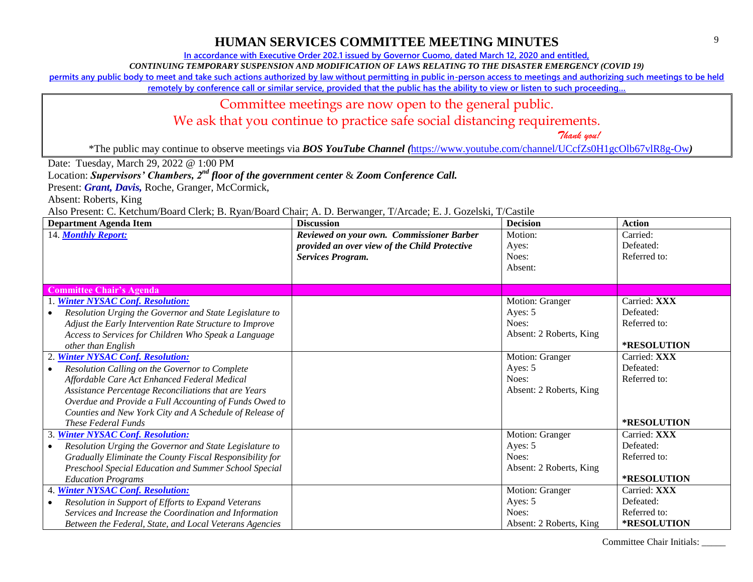**In accordance with Executive Order 202.1 issued by Governor Cuomo, dated March 12, 2020 and entitled,**

*CONTINUING TEMPORARY SUSPENSION AND MODIFICATION OF LAWS RELATING TO THE DISASTER EMERGENCY (COVID 19)*

**permits any public body to meet and take such actions authorized by law without permitting in public in-person access to meetings and authorizing such meetings to be held** 

**remotely by conference call or similar service, provided that the public has the ability to view or listen to such proceeding…**

#### Committee meetings are now open to the general public.

We ask that you continue to practice safe social distancing requirements.

 *Thank you!*

\*The public may continue to observe meetings via *BOS YouTube Channel (*<https://www.youtube.com/channel/UCcfZs0H1gcOlb67vlR8g-Ow>*)*

Date: Tuesday, March 29, 2022 @ 1:00 PM

Location: *Supervisors' Chambers, 2nd floor of the government center* & *Zoom Conference Call.*

Present: **Grant, Davis**, Roche, Granger, McCormick,

Absent: Roberts, King

Also Present: C. Ketchum/Board Clerk; B. Ryan/Board Chair; A. D. Berwanger, T/Arcade; E. J. Gozelski, T/Castile

| <b>Department Agenda Item</b>                            | <b>Discussion</b>                             | <b>Decision</b>         | <b>Action</b> |
|----------------------------------------------------------|-----------------------------------------------|-------------------------|---------------|
| 14. Monthly Report:                                      | Reviewed on your own. Commissioner Barber     | Motion:                 | Carried:      |
|                                                          | provided an over view of the Child Protective | Ayes:                   | Defeated:     |
|                                                          | <b>Services Program.</b>                      | Noes:                   | Referred to:  |
|                                                          |                                               | Absent:                 |               |
|                                                          |                                               |                         |               |
| <b>Committee Chair's Agenda</b>                          |                                               |                         |               |
| 1. Winter NYSAC Conf. Resolution:                        |                                               | Motion: Granger         | Carried: XXX  |
| Resolution Urging the Governor and State Legislature to  |                                               | Ayes: 5                 | Defeated:     |
| Adjust the Early Intervention Rate Structure to Improve  |                                               | Noes:                   | Referred to:  |
| Access to Services for Children Who Speak a Language     |                                               | Absent: 2 Roberts, King |               |
| other than English                                       |                                               |                         | *RESOLUTION   |
| 2. Winter NYSAC Conf. Resolution:                        |                                               | Motion: Granger         | Carried: XXX  |
| Resolution Calling on the Governor to Complete           |                                               | Ayes: 5                 | Defeated:     |
| Affordable Care Act Enhanced Federal Medical             |                                               | Noes:                   | Referred to:  |
| Assistance Percentage Reconciliations that are Years     |                                               | Absent: 2 Roberts, King |               |
| Overdue and Provide a Full Accounting of Funds Owed to   |                                               |                         |               |
| Counties and New York City and A Schedule of Release of  |                                               |                         |               |
| <i>These Federal Funds</i>                               |                                               |                         | *RESOLUTION   |
| 3. Winter NYSAC Conf. Resolution:                        |                                               | Motion: Granger         | Carried: XXX  |
| Resolution Urging the Governor and State Legislature to  |                                               | Ayes: 5                 | Defeated:     |
| Gradually Eliminate the County Fiscal Responsibility for |                                               | Noes:                   | Referred to:  |
| Preschool Special Education and Summer School Special    |                                               | Absent: 2 Roberts, King |               |
| <b>Education Programs</b>                                |                                               |                         | *RESOLUTION   |
| 4. Winter NYSAC Conf. Resolution:                        |                                               | Motion: Granger         | Carried: XXX  |
| Resolution in Support of Efforts to Expand Veterans      |                                               | Ayes: 5                 | Defeated:     |
| Services and Increase the Coordination and Information   |                                               | Noes:                   | Referred to:  |
| Between the Federal, State, and Local Veterans Agencies  |                                               | Absent: 2 Roberts, King | *RESOLUTION   |